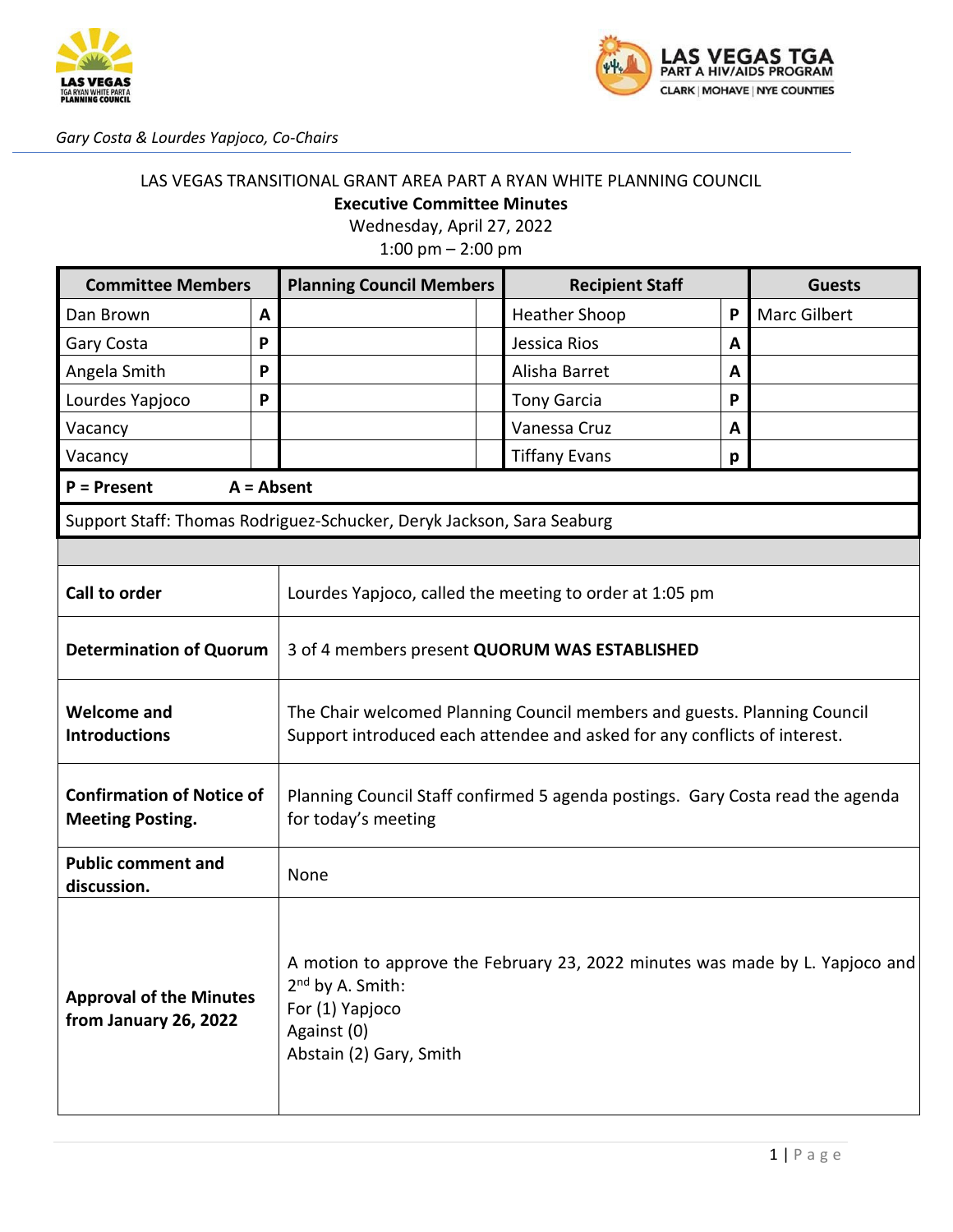



*Gary Costa & Lourdes Yapjoco, Co-Chairs*

#### LAS VEGAS TRANSITIONAL GRANT AREA PART A RYAN WHITE PLANNING COUNCIL **Executive Committee Minutes**

Wednesday, April 27, 2022

1:00 pm – 2:00 pm

| <b>Committee Members</b>                                                                                                                                                                                                             |   | <b>Planning Council Members</b>                                                                                                                       | <b>Recipient Staff</b> |   | <b>Guests</b>       |
|--------------------------------------------------------------------------------------------------------------------------------------------------------------------------------------------------------------------------------------|---|-------------------------------------------------------------------------------------------------------------------------------------------------------|------------------------|---|---------------------|
| Dan Brown                                                                                                                                                                                                                            | A |                                                                                                                                                       | <b>Heather Shoop</b>   | P | <b>Marc Gilbert</b> |
| Gary Costa                                                                                                                                                                                                                           | P |                                                                                                                                                       | Jessica Rios           | A |                     |
| Angela Smith                                                                                                                                                                                                                         | P |                                                                                                                                                       | Alisha Barret          | A |                     |
| Lourdes Yapjoco                                                                                                                                                                                                                      | P |                                                                                                                                                       | <b>Tony Garcia</b>     | P |                     |
| Vacancy                                                                                                                                                                                                                              |   |                                                                                                                                                       | Vanessa Cruz           | A |                     |
| Vacancy                                                                                                                                                                                                                              |   |                                                                                                                                                       | <b>Tiffany Evans</b>   | p |                     |
| $P =$ Present                                                                                                                                                                                                                        |   | $A = Absent$                                                                                                                                          |                        |   |                     |
| Support Staff: Thomas Rodriguez-Schucker, Deryk Jackson, Sara Seaburg                                                                                                                                                                |   |                                                                                                                                                       |                        |   |                     |
|                                                                                                                                                                                                                                      |   |                                                                                                                                                       |                        |   |                     |
| <b>Call to order</b>                                                                                                                                                                                                                 |   | Lourdes Yapjoco, called the meeting to order at 1:05 pm                                                                                               |                        |   |                     |
| <b>Determination of Quorum</b>                                                                                                                                                                                                       |   | 3 of 4 members present QUORUM WAS ESTABLISHED                                                                                                         |                        |   |                     |
| <b>Welcome and</b><br><b>Introductions</b>                                                                                                                                                                                           |   | The Chair welcomed Planning Council members and guests. Planning Council<br>Support introduced each attendee and asked for any conflicts of interest. |                        |   |                     |
| <b>Confirmation of Notice of</b><br><b>Meeting Posting.</b>                                                                                                                                                                          |   | Planning Council Staff confirmed 5 agenda postings. Gary Costa read the agenda<br>for today's meeting                                                 |                        |   |                     |
| <b>Public comment and</b><br>discussion.                                                                                                                                                                                             |   | None                                                                                                                                                  |                        |   |                     |
| A motion to approve the February 23, 2022 minutes was made by L. Yapjoco and<br>2 <sup>nd</sup> by A. Smith:<br><b>Approval of the Minutes</b><br>For (1) Yapjoco<br>from January 26, 2022<br>Against (0)<br>Abstain (2) Gary, Smith |   |                                                                                                                                                       |                        |   |                     |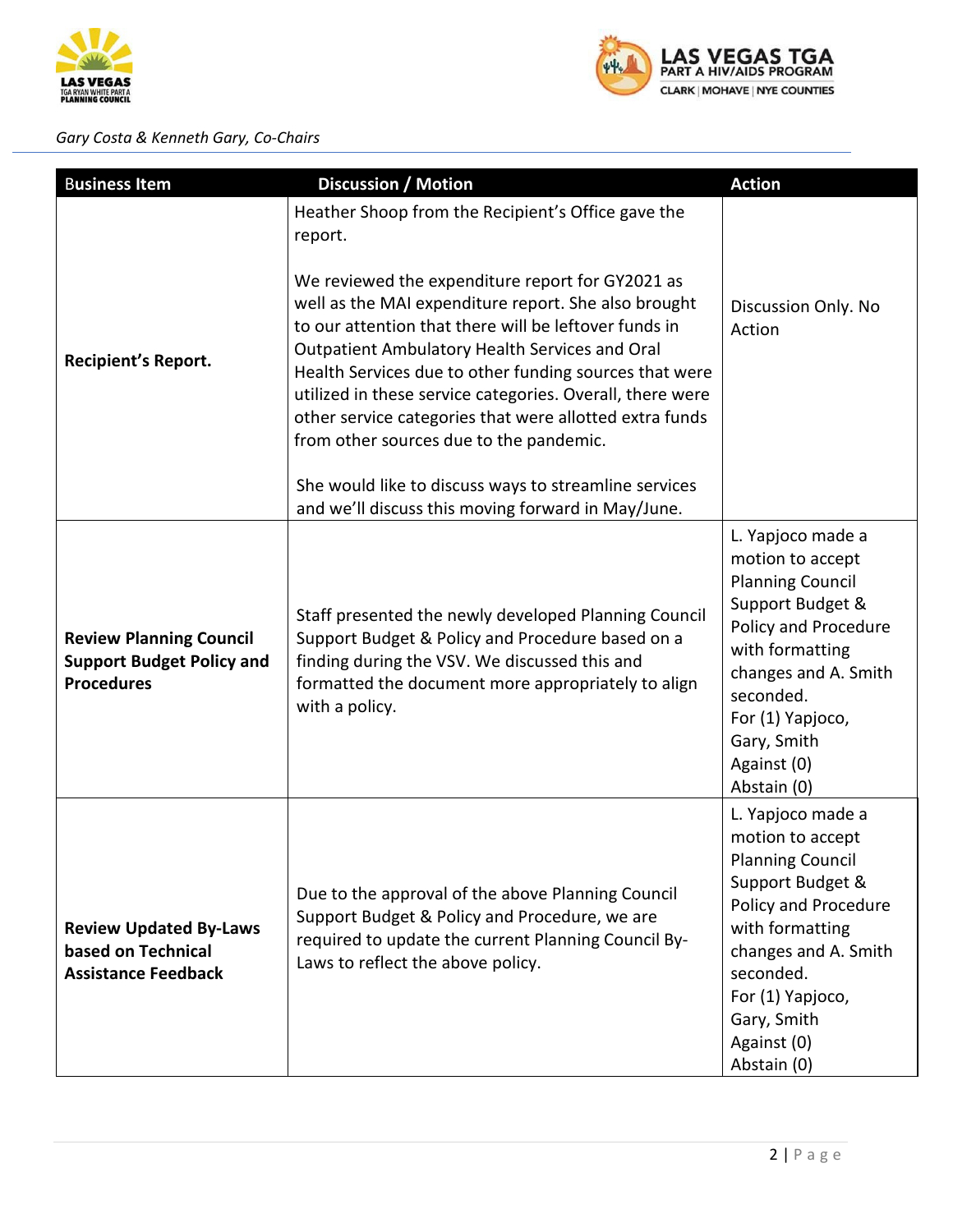

### *Gary Costa & Kenneth Gary, Co-Chairs*



| <b>Business Item</b>                                                                    | <b>Discussion / Motion</b>                                                                                                                                                                                                                                                                                                                                                                                                                                                                                        | <b>Action</b>                                                                                                                                                                                                                         |
|-----------------------------------------------------------------------------------------|-------------------------------------------------------------------------------------------------------------------------------------------------------------------------------------------------------------------------------------------------------------------------------------------------------------------------------------------------------------------------------------------------------------------------------------------------------------------------------------------------------------------|---------------------------------------------------------------------------------------------------------------------------------------------------------------------------------------------------------------------------------------|
| <b>Recipient's Report.</b>                                                              | Heather Shoop from the Recipient's Office gave the<br>report.<br>We reviewed the expenditure report for GY2021 as<br>well as the MAI expenditure report. She also brought<br>to our attention that there will be leftover funds in<br>Outpatient Ambulatory Health Services and Oral<br>Health Services due to other funding sources that were<br>utilized in these service categories. Overall, there were<br>other service categories that were allotted extra funds<br>from other sources due to the pandemic. | Discussion Only. No<br>Action                                                                                                                                                                                                         |
|                                                                                         | She would like to discuss ways to streamline services<br>and we'll discuss this moving forward in May/June.                                                                                                                                                                                                                                                                                                                                                                                                       |                                                                                                                                                                                                                                       |
| <b>Review Planning Council</b><br><b>Support Budget Policy and</b><br><b>Procedures</b> | Staff presented the newly developed Planning Council<br>Support Budget & Policy and Procedure based on a<br>finding during the VSV. We discussed this and<br>formatted the document more appropriately to align<br>with a policy.                                                                                                                                                                                                                                                                                 |                                                                                                                                                                                                                                       |
| <b>Review Updated By-Laws</b><br>based on Technical<br><b>Assistance Feedback</b>       | Due to the approval of the above Planning Council<br>Support Budget & Policy and Procedure, we are<br>required to update the current Planning Council By-<br>Laws to reflect the above policy.                                                                                                                                                                                                                                                                                                                    | L. Yapjoco made a<br>motion to accept<br><b>Planning Council</b><br>Support Budget &<br>Policy and Procedure<br>with formatting<br>changes and A. Smith<br>seconded.<br>For (1) Yapjoco,<br>Gary, Smith<br>Against (0)<br>Abstain (0) |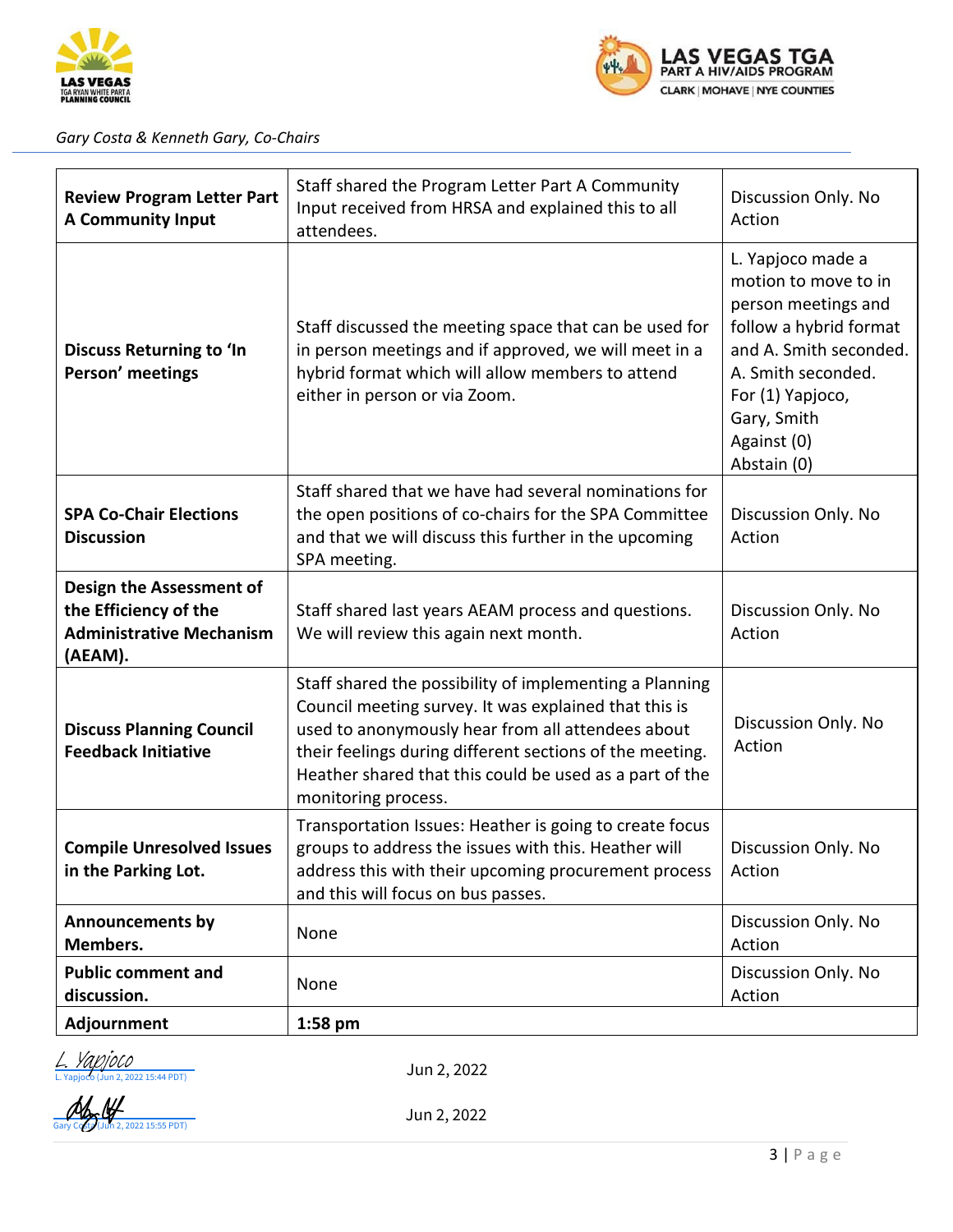



#### *Gary Costa & Kenneth Gary, Co-Chairs*

| <b>Review Program Letter Part</b><br><b>A Community Input</b>                                   | Staff shared the Program Letter Part A Community<br>Input received from HRSA and explained this to all<br>attendees.                                                                                                                                                                                                | Discussion Only. No<br>Action |
|-------------------------------------------------------------------------------------------------|---------------------------------------------------------------------------------------------------------------------------------------------------------------------------------------------------------------------------------------------------------------------------------------------------------------------|-------------------------------|
| <b>Discuss Returning to 'In</b><br>Person' meetings                                             | Staff discussed the meeting space that can be used for<br>in person meetings and if approved, we will meet in a<br>hybrid format which will allow members to attend<br>either in person or via Zoom.                                                                                                                |                               |
| <b>SPA Co-Chair Elections</b><br><b>Discussion</b>                                              | Staff shared that we have had several nominations for<br>the open positions of co-chairs for the SPA Committee<br>and that we will discuss this further in the upcoming<br>SPA meeting.                                                                                                                             | Discussion Only. No<br>Action |
| Design the Assessment of<br>the Efficiency of the<br><b>Administrative Mechanism</b><br>(AEAM). | Staff shared last years AEAM process and questions.<br>We will review this again next month.                                                                                                                                                                                                                        | Discussion Only. No<br>Action |
| <b>Discuss Planning Council</b><br><b>Feedback Initiative</b>                                   | Staff shared the possibility of implementing a Planning<br>Council meeting survey. It was explained that this is<br>used to anonymously hear from all attendees about<br>their feelings during different sections of the meeting.<br>Heather shared that this could be used as a part of the<br>monitoring process. | Discussion Only. No<br>Action |
| <b>Compile Unresolved Issues</b><br>in the Parking Lot.                                         | Transportation Issues: Heather is going to create focus<br>groups to address the issues with this. Heather will<br>address this with their upcoming procurement process<br>and this will focus on bus passes.                                                                                                       | Discussion Only. No<br>Action |
| <b>Announcements by</b><br>Members.                                                             | Discussion Only. No<br>None<br>Action                                                                                                                                                                                                                                                                               |                               |
| <b>Public comment and</b><br>discussion.                                                        | None                                                                                                                                                                                                                                                                                                                | Discussion Only. No<br>Action |
| Adjournment                                                                                     | $1:58$ pm                                                                                                                                                                                                                                                                                                           |                               |

2, 2022 15:44 PDT) <u>apjoco</u>

Jun 2, 2022

 $\frac{1}{2}$ , 2022 15:55 PDT) Jun 2, 2022